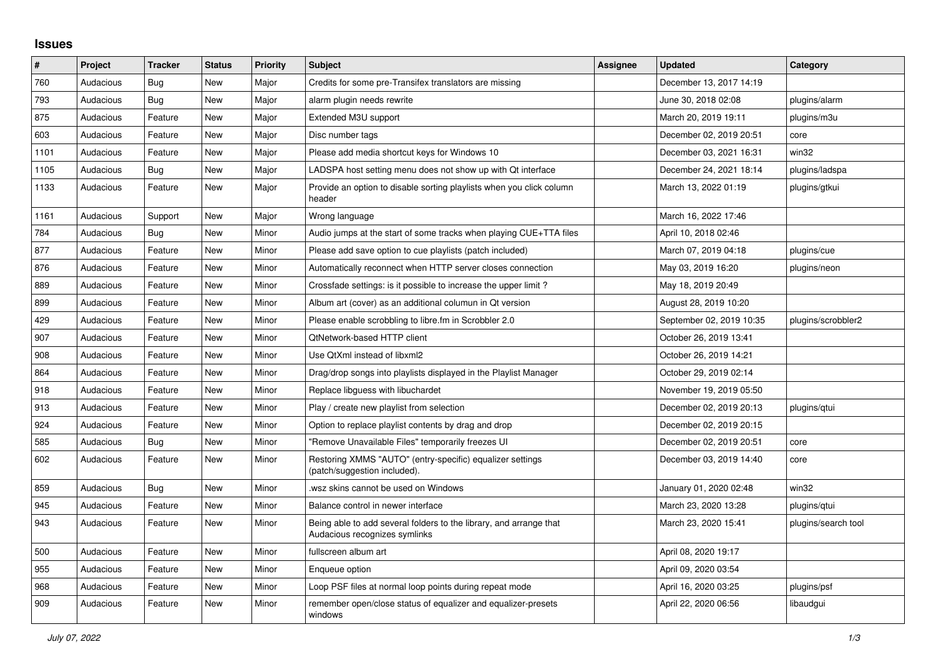## **Issues**

| ∦    | Project   | <b>Tracker</b> | <b>Status</b> | <b>Priority</b> | <b>Subject</b>                                                                                      | Assignee | <b>Updated</b>           | Category            |
|------|-----------|----------------|---------------|-----------------|-----------------------------------------------------------------------------------------------------|----------|--------------------------|---------------------|
| 760  | Audacious | Bug            | <b>New</b>    | Major           | Credits for some pre-Transifex translators are missing                                              |          | December 13, 2017 14:19  |                     |
| 793  | Audacious | Bug            | New           | Major           | alarm plugin needs rewrite                                                                          |          | June 30, 2018 02:08      | plugins/alarm       |
| 875  | Audacious | Feature        | <b>New</b>    | Major           | Extended M3U support                                                                                |          | March 20, 2019 19:11     | plugins/m3u         |
| 603  | Audacious | Feature        | New           | Major           | Disc number tags                                                                                    |          | December 02, 2019 20:51  | core                |
| 1101 | Audacious | Feature        | <b>New</b>    | Major           | Please add media shortcut keys for Windows 10                                                       |          | December 03, 2021 16:31  | win32               |
| 1105 | Audacious | Bug            | <b>New</b>    | Major           | LADSPA host setting menu does not show up with Qt interface                                         |          | December 24, 2021 18:14  | plugins/ladspa      |
| 1133 | Audacious | Feature        | New           | Major           | Provide an option to disable sorting playlists when you click column<br>header                      |          | March 13, 2022 01:19     | plugins/gtkui       |
| 1161 | Audacious | Support        | <b>New</b>    | Major           | Wrong language                                                                                      |          | March 16, 2022 17:46     |                     |
| 784  | Audacious | Bug            | New           | Minor           | Audio jumps at the start of some tracks when playing CUE+TTA files                                  |          | April 10, 2018 02:46     |                     |
| 877  | Audacious | Feature        | New           | Minor           | Please add save option to cue playlists (patch included)                                            |          | March 07, 2019 04:18     | plugins/cue         |
| 876  | Audacious | Feature        | New           | Minor           | Automatically reconnect when HTTP server closes connection                                          |          | May 03, 2019 16:20       | plugins/neon        |
| 889  | Audacious | Feature        | New           | Minor           | Crossfade settings: is it possible to increase the upper limit?                                     |          | May 18, 2019 20:49       |                     |
| 899  | Audacious | Feature        | <b>New</b>    | Minor           | Album art (cover) as an additional columun in Qt version                                            |          | August 28, 2019 10:20    |                     |
| 429  | Audacious | Feature        | <b>New</b>    | Minor           | Please enable scrobbling to libre.fm in Scrobbler 2.0                                               |          | September 02, 2019 10:35 | plugins/scrobbler2  |
| 907  | Audacious | Feature        | New           | Minor           | <b>QtNetwork-based HTTP client</b>                                                                  |          | October 26, 2019 13:41   |                     |
| 908  | Audacious | Feature        | New           | Minor           | Use QtXml instead of libxml2                                                                        |          | October 26, 2019 14:21   |                     |
| 864  | Audacious | Feature        | <b>New</b>    | Minor           | Drag/drop songs into playlists displayed in the Playlist Manager                                    |          | October 29, 2019 02:14   |                     |
| 918  | Audacious | Feature        | New           | Minor           | Replace libguess with libuchardet                                                                   |          | November 19, 2019 05:50  |                     |
| 913  | Audacious | Feature        | <b>New</b>    | Minor           | Play / create new playlist from selection                                                           |          | December 02, 2019 20:13  | plugins/qtui        |
| 924  | Audacious | Feature        | <b>New</b>    | Minor           | Option to replace playlist contents by drag and drop                                                |          | December 02, 2019 20:15  |                     |
| 585  | Audacious | Bug            | <b>New</b>    | Minor           | "Remove Unavailable Files" temporarily freezes UI                                                   |          | December 02, 2019 20:51  | core                |
| 602  | Audacious | Feature        | <b>New</b>    | Minor           | Restoring XMMS "AUTO" (entry-specific) equalizer settings<br>(patch/suggestion included).           |          | December 03, 2019 14:40  | core                |
| 859  | Audacious | <b>Bug</b>     | <b>New</b>    | Minor           | wsz skins cannot be used on Windows                                                                 |          | January 01, 2020 02:48   | win32               |
| 945  | Audacious | Feature        | New           | Minor           | Balance control in newer interface                                                                  |          | March 23, 2020 13:28     | plugins/gtui        |
| 943  | Audacious | Feature        | New           | Minor           | Being able to add several folders to the library, and arrange that<br>Audacious recognizes symlinks |          | March 23, 2020 15:41     | plugins/search tool |
| 500  | Audacious | Feature        | New           | Minor           | fullscreen album art                                                                                |          | April 08, 2020 19:17     |                     |
| 955  | Audacious | Feature        | <b>New</b>    | Minor           | Enqueue option                                                                                      |          | April 09, 2020 03:54     |                     |
| 968  | Audacious | Feature        | New           | Minor           | Loop PSF files at normal loop points during repeat mode                                             |          | April 16, 2020 03:25     | plugins/psf         |
| 909  | Audacious | Feature        | <b>New</b>    | Minor           | remember open/close status of equalizer and equalizer-presets<br>windows                            |          | April 22, 2020 06:56     | libaudgui           |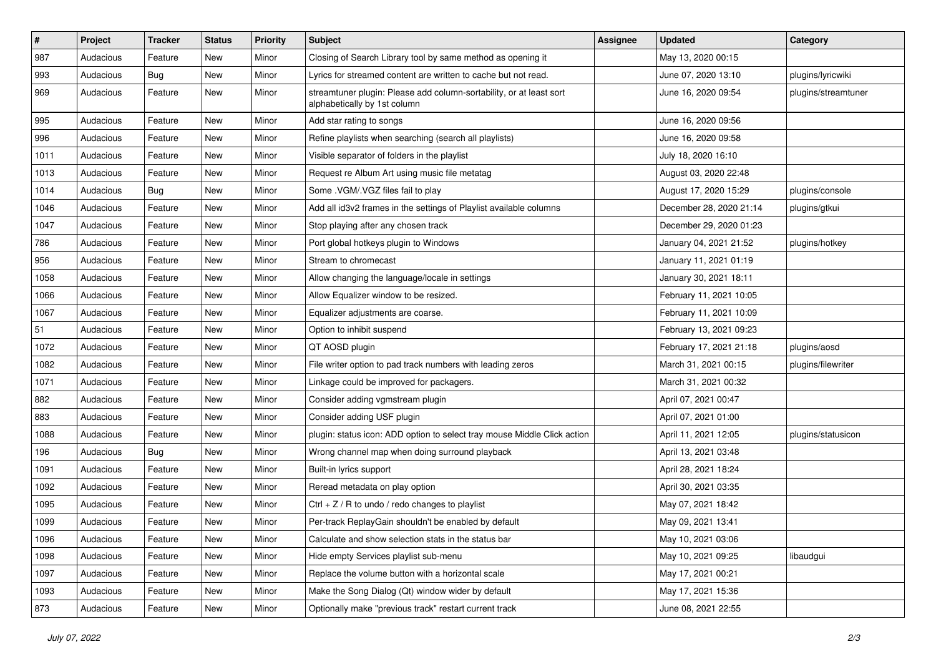| $\#$ | Project   | <b>Tracker</b> | <b>Status</b> | <b>Priority</b> | Subject                                                                                             | <b>Assignee</b> | <b>Updated</b>          | Category            |
|------|-----------|----------------|---------------|-----------------|-----------------------------------------------------------------------------------------------------|-----------------|-------------------------|---------------------|
| 987  | Audacious | Feature        | New           | Minor           | Closing of Search Library tool by same method as opening it                                         |                 | May 13, 2020 00:15      |                     |
| 993  | Audacious | Bug            | <b>New</b>    | Minor           | Lyrics for streamed content are written to cache but not read.                                      |                 | June 07, 2020 13:10     | plugins/lyricwiki   |
| 969  | Audacious | Feature        | New           | Minor           | streamtuner plugin: Please add column-sortability, or at least sort<br>alphabetically by 1st column |                 | June 16, 2020 09:54     | plugins/streamtuner |
| 995  | Audacious | Feature        | New           | Minor           | Add star rating to songs                                                                            |                 | June 16, 2020 09:56     |                     |
| 996  | Audacious | Feature        | New           | Minor           | Refine playlists when searching (search all playlists)                                              |                 | June 16, 2020 09:58     |                     |
| 1011 | Audacious | Feature        | <b>New</b>    | Minor           | Visible separator of folders in the playlist                                                        |                 | July 18, 2020 16:10     |                     |
| 1013 | Audacious | Feature        | New           | Minor           | Request re Album Art using music file metatag                                                       |                 | August 03, 2020 22:48   |                     |
| 1014 | Audacious | Bug            | New           | Minor           | Some .VGM/.VGZ files fail to play                                                                   |                 | August 17, 2020 15:29   | plugins/console     |
| 1046 | Audacious | Feature        | <b>New</b>    | Minor           | Add all id3v2 frames in the settings of Playlist available columns                                  |                 | December 28, 2020 21:14 | plugins/gtkui       |
| 1047 | Audacious | Feature        | New           | Minor           | Stop playing after any chosen track                                                                 |                 | December 29, 2020 01:23 |                     |
| 786  | Audacious | Feature        | New           | Minor           | Port global hotkeys plugin to Windows                                                               |                 | January 04, 2021 21:52  | plugins/hotkey      |
| 956  | Audacious | Feature        | New           | Minor           | Stream to chromecast                                                                                |                 | January 11, 2021 01:19  |                     |
| 1058 | Audacious | Feature        | New           | Minor           | Allow changing the language/locale in settings                                                      |                 | January 30, 2021 18:11  |                     |
| 1066 | Audacious | Feature        | New           | Minor           | Allow Equalizer window to be resized.                                                               |                 | February 11, 2021 10:05 |                     |
| 1067 | Audacious | Feature        | New           | Minor           | Equalizer adjustments are coarse.                                                                   |                 | February 11, 2021 10:09 |                     |
| 51   | Audacious | Feature        | New           | Minor           | Option to inhibit suspend                                                                           |                 | February 13, 2021 09:23 |                     |
| 1072 | Audacious | Feature        | New           | Minor           | QT AOSD plugin                                                                                      |                 | February 17, 2021 21:18 | plugins/aosd        |
| 1082 | Audacious | Feature        | New           | Minor           | File writer option to pad track numbers with leading zeros                                          |                 | March 31, 2021 00:15    | plugins/filewriter  |
| 1071 | Audacious | Feature        | New           | Minor           | Linkage could be improved for packagers.                                                            |                 | March 31, 2021 00:32    |                     |
| 882  | Audacious | Feature        | New           | Minor           | Consider adding vgmstream plugin                                                                    |                 | April 07, 2021 00:47    |                     |
| 883  | Audacious | Feature        | New           | Minor           | Consider adding USF plugin                                                                          |                 | April 07, 2021 01:00    |                     |
| 1088 | Audacious | Feature        | New           | Minor           | plugin: status icon: ADD option to select tray mouse Middle Click action                            |                 | April 11, 2021 12:05    | plugins/statusicon  |
| 196  | Audacious | Bug            | New           | Minor           | Wrong channel map when doing surround playback                                                      |                 | April 13, 2021 03:48    |                     |
| 1091 | Audacious | Feature        | New           | Minor           | Built-in lyrics support                                                                             |                 | April 28, 2021 18:24    |                     |
| 1092 | Audacious | Feature        | New           | Minor           | Reread metadata on play option                                                                      |                 | April 30, 2021 03:35    |                     |
| 1095 | Audacious | Feature        | New           | Minor           | $Ctrl + Z / R$ to undo / redo changes to playlist                                                   |                 | May 07, 2021 18:42      |                     |
| 1099 | Audacious | Feature        | New           | Minor           | Per-track ReplayGain shouldn't be enabled by default                                                |                 | May 09, 2021 13:41      |                     |
| 1096 | Audacious | Feature        | New           | Minor           | Calculate and show selection stats in the status bar                                                |                 | May 10, 2021 03:06      |                     |
| 1098 | Audacious | Feature        | New           | Minor           | Hide empty Services playlist sub-menu                                                               |                 | May 10, 2021 09:25      | libaudgui           |
| 1097 | Audacious | Feature        | New           | Minor           | Replace the volume button with a horizontal scale                                                   |                 | May 17, 2021 00:21      |                     |
| 1093 | Audacious | Feature        | New           | Minor           | Make the Song Dialog (Qt) window wider by default                                                   |                 | May 17, 2021 15:36      |                     |
| 873  | Audacious | Feature        | New           | Minor           | Optionally make "previous track" restart current track                                              |                 | June 08, 2021 22:55     |                     |